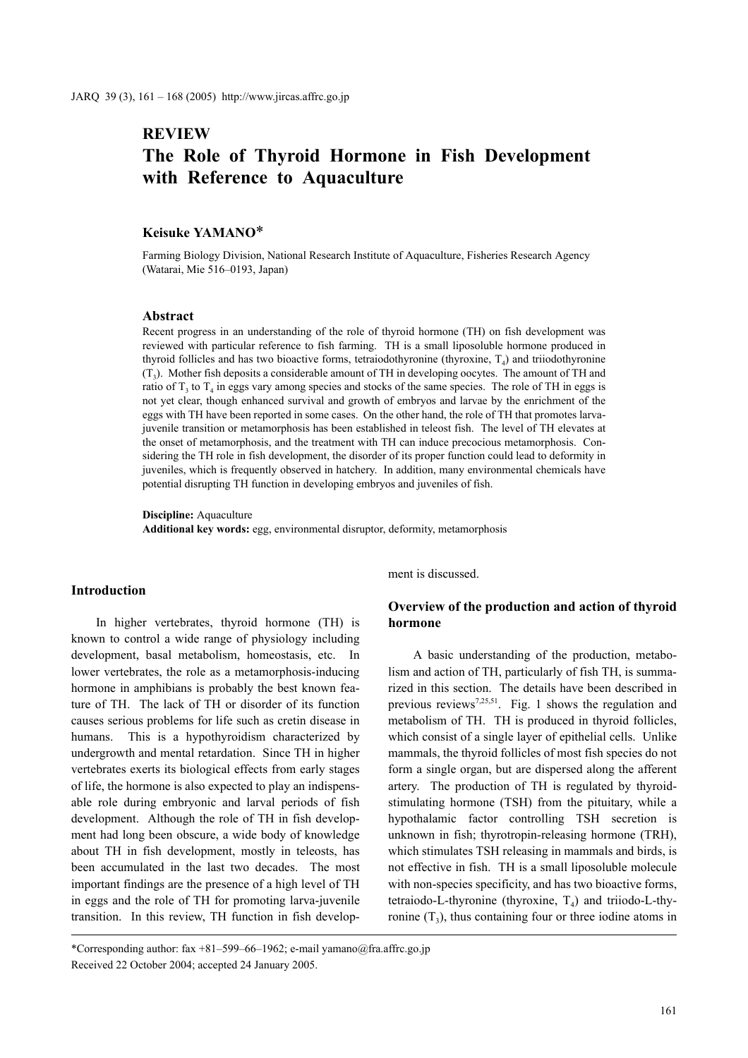# **REVIEW**

# **The Role of Thyroid Hormone in Fish Development with Reference to Aquaculture**

#### **Keisuke YAMANO**\*

Farming Biology Division, National Research Institute of Aquaculture, Fisheries Research Agency (Watarai, Mie 516–0193, Japan)

#### **Abstract**

Recent progress in an understanding of the role of thyroid hormone (TH) on fish development was reviewed with particular reference to fish farming. TH is a small liposoluble hormone produced in thyroid follicles and has two bioactive forms, tetraiodothyronine (thyroxine,  $T<sub>4</sub>$ ) and triiodothyronine  $(T<sub>3</sub>)$ . Mother fish deposits a considerable amount of TH in developing oocytes. The amount of TH and ratio of  $T_3$  to  $T_4$  in eggs vary among species and stocks of the same species. The role of TH in eggs is not yet clear, though enhanced survival and growth of embryos and larvae by the enrichment of the eggs with TH have been reported in some cases. On the other hand, the role of TH that promotes larvajuvenile transition or metamorphosis has been established in teleost fish. The level of TH elevates at the onset of metamorphosis, and the treatment with TH can induce precocious metamorphosis. Considering the TH role in fish development, the disorder of its proper function could lead to deformity in juveniles, which is frequently observed in hatchery. In addition, many environmental chemicals have potential disrupting TH function in developing embryos and juveniles of fish.

**Discipline:** Aquaculture **Additional key words:** egg, environmental disruptor, deformity, metamorphosis

## **Introduction**

In higher vertebrates, thyroid hormone (TH) is known to control a wide range of physiology including development, basal metabolism, homeostasis, etc. In lower vertebrates, the role as a metamorphosis-inducing hormone in amphibians is probably the best known feature of TH. The lack of TH or disorder of its function causes serious problems for life such as cretin disease in humans. This is a hypothyroidism characterized by undergrowth and mental retardation. Since TH in higher vertebrates exerts its biological effects from early stages of life, the hormone is also expected to play an indispensable role during embryonic and larval periods of fish development. Although the role of TH in fish development had long been obscure, a wide body of knowledge about TH in fish development, mostly in teleosts, has been accumulated in the last two decades. The most important findings are the presence of a high level of TH in eggs and the role of TH for promoting larva-juvenile transition. In this review, TH function in fish development is discussed.

# **Overview of the production and action of thyroid hormone**

A basic understanding of the production, metabolism and action of TH, particularly of fish TH, is summarized in this section. The details have been described in previous reviews<sup>7,25,51</sup>. Fig. 1 shows the regulation and metabolism of TH. TH is produced in thyroid follicles, which consist of a single layer of epithelial cells. Unlike mammals, the thyroid follicles of most fish species do not form a single organ, but are dispersed along the afferent artery. The production of TH is regulated by thyroidstimulating hormone (TSH) from the pituitary, while a hypothalamic factor controlling TSH secretion is unknown in fish; thyrotropin-releasing hormone (TRH), which stimulates TSH releasing in mammals and birds, is not effective in fish. TH is a small liposoluble molecule with non-species specificity, and has two bioactive forms, tetraiodo-L-thyronine (thyroxine,  $T_A$ ) and triiodo-L-thyronine  $(T_3)$ , thus containing four or three iodine atoms in

<sup>\*</sup>Corresponding author: fax +81–599–66–1962; e-mail yamano@fra.affrc.go.jp Received 22 October 2004; accepted 24 January 2005.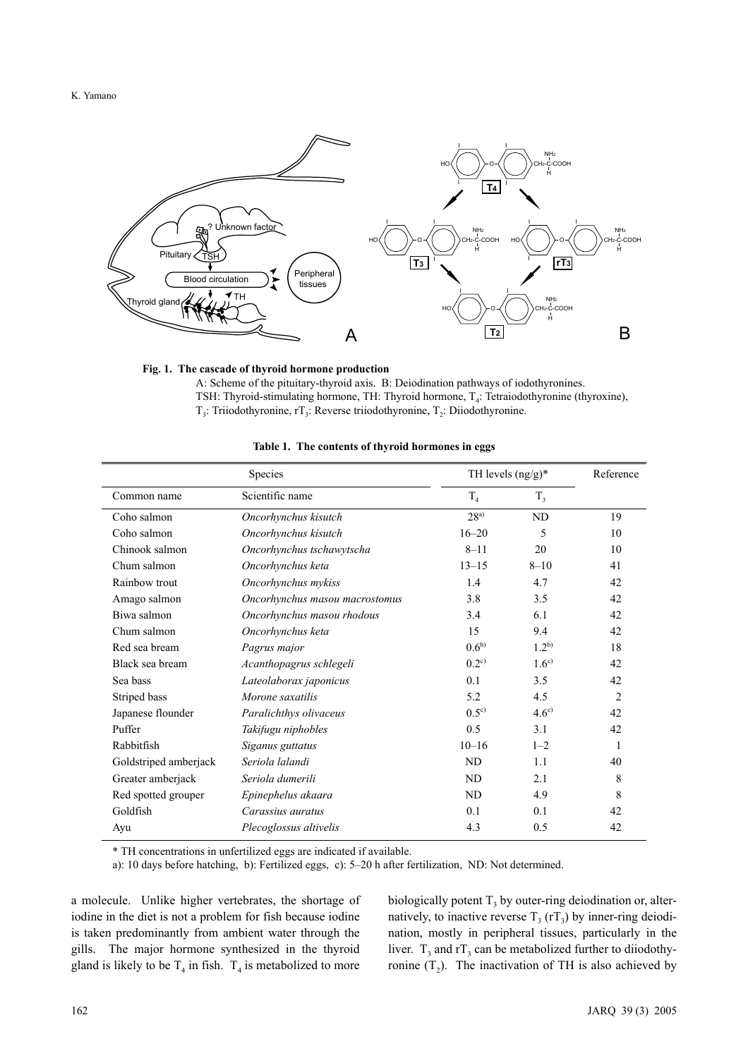K. Yamano



#### **Fig. 1. The cascade of thyroid hormone production**

A: Scheme of the pituitary-thyroid axis. B: Deiodination pathways of iodothyronines. TSH: Thyroid-stimulating hormone, TH: Thyroid hormone, T4: Tetraiodothyronine (thyroxine),  $T_3$ : Triiodothyronine, rT<sub>3</sub>: Reverse triiodothyronine, T<sub>2</sub>: Diiodothyronine.

|                       | TH levels $(ng/g)^*$           | Reference      |               |              |
|-----------------------|--------------------------------|----------------|---------------|--------------|
| Common name           | Scientific name                | T <sub>4</sub> | $T_3$         |              |
| Coho salmon           | Oncorhynchus kisutch           | $28^{a)}$      | ND            | 19           |
| Coho salmon           | Oncorhynchus kisutch           | $16 - 20$      | 5             | 10           |
| Chinook salmon        | Oncorhynchus tschawytscha      | $8 - 11$       | 20            | 10           |
| Chum salmon           | Oncorhynchus keta              | $13 - 15$      | $8 - 10$      | 41           |
| Rainbow trout         | Oncorhynchus mykiss            | 1.4            | 4.7           | 42           |
| Amago salmon          | Oncorhynchus masou macrostomus | 3.8            | 3.5           | 42           |
| Biwa salmon           | Oncorhynchus masou rhodous     | 3.4            | 6.1           | 42           |
| Chum salmon           | Oncorhynchus keta              | 15             | 9.4           | 42           |
| Red sea bream         | Pagrus major                   | $0.6^{b}$      | $1.2^{b}$     | 18           |
| Black sea bream       | Acanthopagrus schlegeli        | $0.2^{\circ}$  | $1.6^{\circ}$ | 42           |
| Sea bass              | Lateolaborax japonicus         | 0.1            | 3.5           | 42           |
| Striped bass          | Morone saxatilis               | 5.2            | 4.5           | 2            |
| Japanese flounder     | Paralichthys olivaceus         | $0.5^{\circ}$  | $4.6^\circ$   | 42           |
| Puffer                | Takifugu niphobles             | 0.5            | 3.1           | 42           |
| Rabbitfish            | Siganus guttatus               | $10 - 16$      | $1 - 2$       | $\mathbf{1}$ |
| Goldstriped amberjack | Seriola lalandi                | ND             | 1.1           | 40           |
| Greater amberjack     | Seriola dumerili               | ND             | 2.1           | 8            |
| Red spotted grouper   | Epinephelus akaara             | ND             | 4.9           | 8            |
| Goldfish              | Carassius auratus              | 0.1            | 0.1           | 42           |
| Ayu                   | Plecoglossus altivelis         | 4.3            | 0.5           | 42           |

## **Table 1. The contents of thyroid hormones in eggs**

\* TH concentrations in unfertilized eggs are indicated if available.

a): 10 days before hatching, b): Fertilized eggs, c): 5–20 h after fertilization, ND: Not determined.

a molecule. Unlike higher vertebrates, the shortage of iodine in the diet is not a problem for fish because iodine is taken predominantly from ambient water through the gills. The major hormone synthesized in the thyroid gland is likely to be  $T_4$  in fish.  $T_4$  is metabolized to more biologically potent  $T_3$  by outer-ring deiodination or, alternatively, to inactive reverse  $T_3$  (rT<sub>3</sub>) by inner-ring deiodination, mostly in peripheral tissues, particularly in the liver.  $T_3$  and  $rT_3$  can be metabolized further to diiodothyronine  $(T_2)$ . The inactivation of TH is also achieved by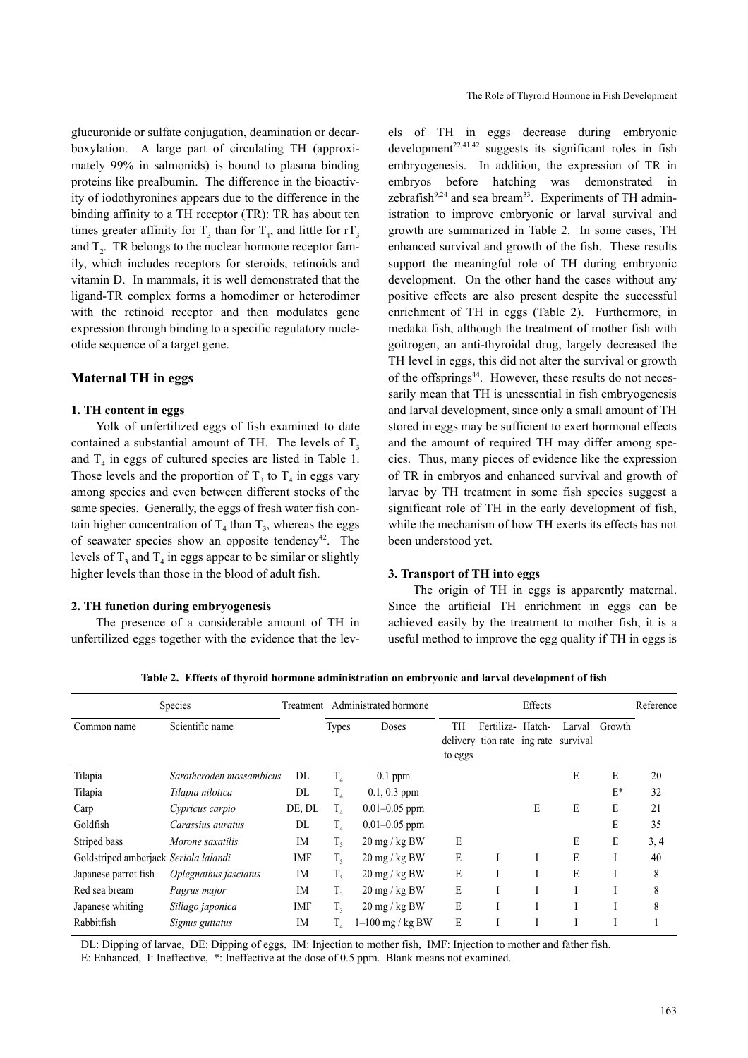glucuronide or sulfate conjugation, deamination or decarboxylation. A large part of circulating TH (approximately 99% in salmonids) is bound to plasma binding proteins like prealbumin. The difference in the bioactivity of iodothyronines appears due to the difference in the binding affinity to a TH receptor (TR): TR has about ten times greater affinity for  $T_3$  than for  $T_4$ , and little for  $rT_3$ and  $T<sub>2</sub>$ . TR belongs to the nuclear hormone receptor family, which includes receptors for steroids, retinoids and vitamin D. In mammals, it is well demonstrated that the ligand-TR complex forms a homodimer or heterodimer with the retinoid receptor and then modulates gene expression through binding to a specific regulatory nucleotide sequence of a target gene.

# **Maternal TH in eggs**

#### **1. TH content in eggs**

Yolk of unfertilized eggs of fish examined to date contained a substantial amount of TH. The levels of  $T<sub>3</sub>$ and  $T<sub>4</sub>$  in eggs of cultured species are listed in Table 1. Those levels and the proportion of  $T_3$  to  $T_4$  in eggs vary among species and even between different stocks of the same species. Generally, the eggs of fresh water fish contain higher concentration of  $T<sub>4</sub>$  than  $T<sub>3</sub>$ , whereas the eggs of seawater species show an opposite tendency<sup>42</sup>. The levels of  $T_3$  and  $T_4$  in eggs appear to be similar or slightly higher levels than those in the blood of adult fish.

#### **2. TH function during embryogenesis**

The presence of a considerable amount of TH in unfertilized eggs together with the evidence that the levels of TH in eggs decrease during embryonic development<sup>22,41,42</sup> suggests its significant roles in fish embryogenesis. In addition, the expression of TR in embryos before hatching was demonstrated in zebrafish $9,24$  and sea bream<sup>33</sup>. Experiments of TH administration to improve embryonic or larval survival and growth are summarized in Table 2. In some cases, TH enhanced survival and growth of the fish. These results support the meaningful role of TH during embryonic development. On the other hand the cases without any positive effects are also present despite the successful enrichment of TH in eggs (Table 2). Furthermore, in medaka fish, although the treatment of mother fish with goitrogen, an anti-thyroidal drug, largely decreased the TH level in eggs, this did not alter the survival or growth of the offsprings<sup>44</sup>. However, these results do not necessarily mean that TH is unessential in fish embryogenesis and larval development, since only a small amount of TH stored in eggs may be sufficient to exert hormonal effects and the amount of required TH may differ among species. Thus, many pieces of evidence like the expression of TR in embryos and enhanced survival and growth of larvae by TH treatment in some fish species suggest a significant role of TH in the early development of fish, while the mechanism of how TH exerts its effects has not been understood yet.

#### **3. Transport of TH into eggs**

The origin of TH in eggs is apparently maternal. Since the artificial TH enrichment in eggs can be achieved easily by the treatment to mother fish, it is a useful method to improve the egg quality if TH in eggs is

**Table 2. Effects of thyroid hormone administration on embryonic and larval development of fish**

| <b>Species</b>                        |                          |            | Treatment Administrated hormone |                            | Effects       |                                                    |        |        |        | Reference |
|---------------------------------------|--------------------------|------------|---------------------------------|----------------------------|---------------|----------------------------------------------------|--------|--------|--------|-----------|
| Common name                           | Scientific name          |            | Types                           | Doses                      | TH<br>to eggs | Fertiliza-<br>delivery tion rate ing rate survival | Hatch- | Larval | Growth |           |
| Tilapia                               | Sarotheroden mossambicus | DL         | $T_4$                           | $0.1$ ppm                  |               |                                                    |        | E      | E      | 20        |
| Tilapia                               | Tilapia nilotica         | DL         | $T_{4}$                         | $0.1, 0.3$ ppm             |               |                                                    |        |        | E*     | 32        |
| Carp                                  | Cypricus carpio          | DE, DL     | $T_{4}$                         | $0.01 - 0.05$ ppm          |               |                                                    | E      | E      | E      | 21        |
| Goldfish                              | Carassius auratus        | DL         | $T_{4}$                         | $0.01 - 0.05$ ppm          |               |                                                    |        |        | E      | 35        |
| Striped bass                          | Morone saxatilis         | IM         | $T_{3}$                         | $20 \,\mathrm{mg}$ / kg BW | E             |                                                    |        | E      | E      | 3, 4      |
| Goldstriped amberjack Seriola lalandi |                          | <b>IMF</b> | T <sub>3</sub>                  | $20 \text{ mg}$ / kg BW    | E             |                                                    |        | E      |        | 40        |
| Japanese parrot fish                  | Oplegnathus fasciatus    | IM         | $T_{3}$                         | $20 \text{ mg}$ / kg BW    | E             |                                                    |        | E      |        | 8         |
| Red sea bream                         | Pagrus major             | IM         | $T_{3}$                         | $20 \text{ mg}$ / kg BW    | E             |                                                    |        |        |        | 8         |
| Japanese whiting                      | Sillago japonica         | IMF        | $T_{1}$                         | $20 \text{ mg}$ / kg BW    | E             |                                                    |        |        |        | 8         |
| Rabbitfish                            | Signus guttatus          | IM         | $T_{A}$                         | $1-100$ mg / kg BW         | E             |                                                    |        |        |        |           |

DL: Dipping of larvae, DE: Dipping of eggs, IM: Injection to mother fish, IMF: Injection to mother and father fish.

E: Enhanced, I: Ineffective, \*: Ineffective at the dose of 0.5 ppm. Blank means not examined.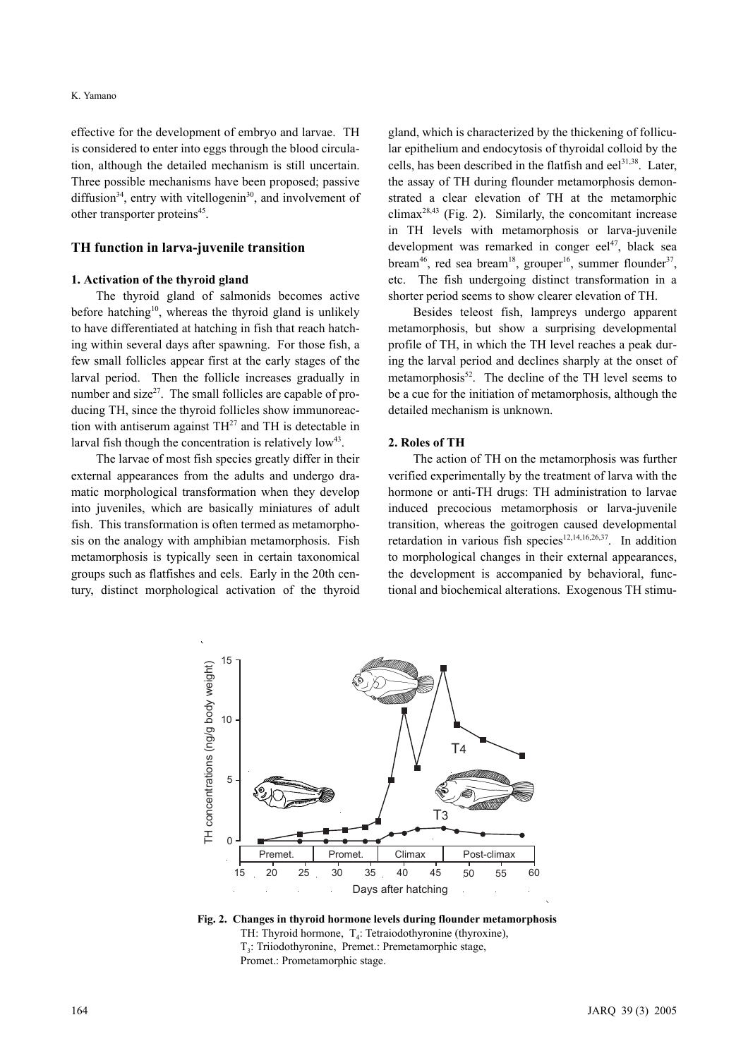#### K. Yamano

effective for the development of embryo and larvae. TH is considered to enter into eggs through the blood circulation, although the detailed mechanism is still uncertain. Three possible mechanisms have been proposed; passive diffusion<sup>34</sup>, entry with vitellogenin<sup>30</sup>, and involvement of other transporter proteins<sup>45</sup>.

# **TH function in larva-juvenile transition**

#### **1. Activation of the thyroid gland**

The thyroid gland of salmonids becomes active before hatching<sup>10</sup>, whereas the thyroid gland is unlikely to have differentiated at hatching in fish that reach hatching within several days after spawning. For those fish, a few small follicles appear first at the early stages of the larval period. Then the follicle increases gradually in number and size $2^7$ . The small follicles are capable of producing TH, since the thyroid follicles show immunoreaction with antiserum against  $TH^{27}$  and TH is detectable in larval fish though the concentration is relatively  $low<sup>43</sup>$ .

The larvae of most fish species greatly differ in their external appearances from the adults and undergo dramatic morphological transformation when they develop into juveniles, which are basically miniatures of adult fish. This transformation is often termed as metamorphosis on the analogy with amphibian metamorphosis. Fish metamorphosis is typically seen in certain taxonomical groups such as flatfishes and eels. Early in the 20th century, distinct morphological activation of the thyroid

gland, which is characterized by the thickening of follicular epithelium and endocytosis of thyroidal colloid by the cells, has been described in the flatfish and  $ee^{31,38}$ . Later, the assay of TH during flounder metamorphosis demonstrated a clear elevation of TH at the metamorphic  $climax<sup>28,43</sup>$  (Fig. 2). Similarly, the concomitant increase in TH levels with metamorphosis or larva-juvenile development was remarked in conger  $\text{e}e^{147}$ , black sea bream<sup>46</sup>, red sea bream<sup>18</sup>, grouper<sup>16</sup>, summer flounder<sup>37</sup>, etc. The fish undergoing distinct transformation in a shorter period seems to show clearer elevation of TH.

Besides teleost fish, lampreys undergo apparent metamorphosis, but show a surprising developmental profile of TH, in which the TH level reaches a peak during the larval period and declines sharply at the onset of metamorphosis $52$ . The decline of the TH level seems to be a cue for the initiation of metamorphosis, although the detailed mechanism is unknown.

#### **2. Roles of TH**

The action of TH on the metamorphosis was further verified experimentally by the treatment of larva with the hormone or anti-TH drugs: TH administration to larvae induced precocious metamorphosis or larva-juvenile transition, whereas the goitrogen caused developmental retardation in various fish species<sup>12,14,16,26,37</sup>. In addition to morphological changes in their external appearances, the development is accompanied by behavioral, functional and biochemical alterations. Exogenous TH stimu-



**Fig. 2. Changes in thyroid hormone levels during flounder metamorphosis**  TH: Thyroid hormone,  $T_A$ : Tetraiodothyronine (thyroxine), T<sub>3</sub>: Triiodothyronine, Premet.: Premetamorphic stage, Promet.: Prometamorphic stage.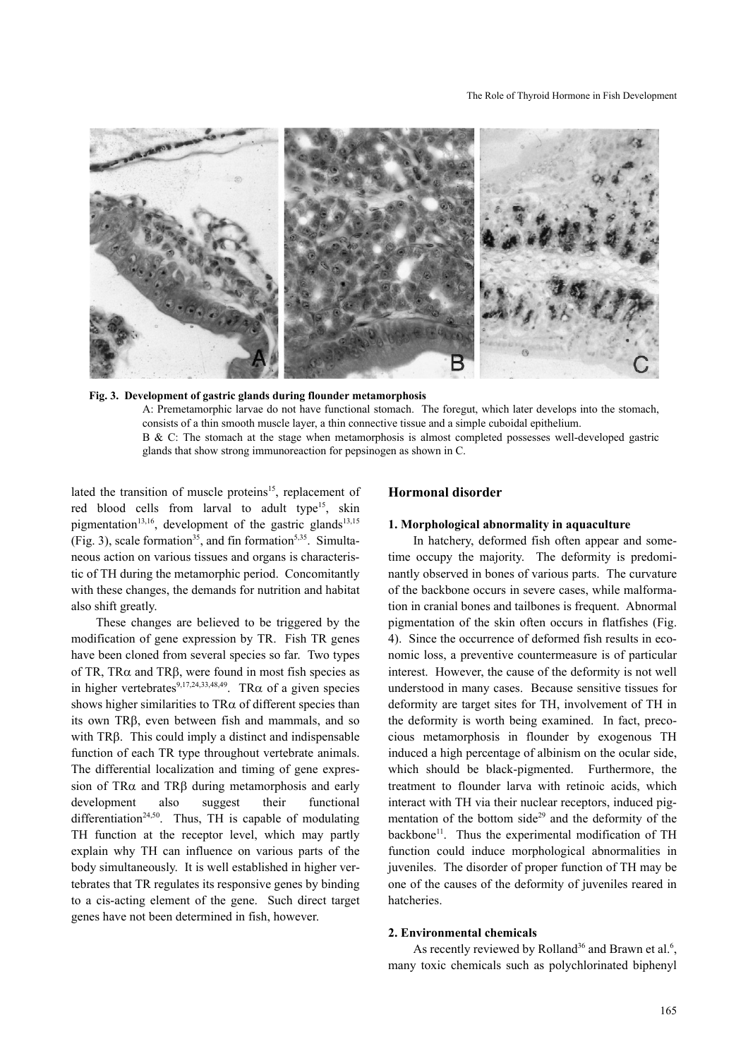

**Fig. 3. Development of gastric glands during flounder metamorphosis** A: Premetamorphic larvae do not have functional stomach. The foregut, which later develops into the stomach, consists of a thin smooth muscle layer, a thin connective tissue and a simple cuboidal epithelium. B & C: The stomach at the stage when metamorphosis is almost completed possesses well-developed gastric glands that show strong immunoreaction for pepsinogen as shown in C.

lated the transition of muscle proteins<sup>15</sup>, replacement of red blood cells from larval to adult type<sup>15</sup>, skin pigmentation<sup>13,16</sup>, development of the gastric glands<sup>13,15</sup> (Fig. 3), scale formation<sup>35</sup>, and fin formation<sup>5,35</sup>. Simultaneous action on various tissues and organs is characteristic of TH during the metamorphic period. Concomitantly with these changes, the demands for nutrition and habitat also shift greatly.

These changes are believed to be triggered by the modification of gene expression by TR. Fish TR genes have been cloned from several species so far. Two types of TR, TR $\alpha$  and TR $\beta$ , were found in most fish species as in higher vertebrates<sup>9,17,24,33,48,49</sup>. TR $\alpha$  of a given species shows higher similarities to  $TR\alpha$  of different species than its own TRβ, even between fish and mammals, and so with TRβ. This could imply a distinct and indispensable function of each TR type throughout vertebrate animals. The differential localization and timing of gene expression of TRα and TRβ during metamorphosis and early development also suggest their functional differentiation<sup>24,50</sup>. Thus, TH is capable of modulating TH function at the receptor level, which may partly explain why TH can influence on various parts of the body simultaneously. It is well established in higher vertebrates that TR regulates its responsive genes by binding to a cis-acting element of the gene. Such direct target genes have not been determined in fish, however.

# **Hormonal disorder**

#### **1. Morphological abnormality in aquaculture**

In hatchery, deformed fish often appear and sometime occupy the majority. The deformity is predominantly observed in bones of various parts. The curvature of the backbone occurs in severe cases, while malformation in cranial bones and tailbones is frequent. Abnormal pigmentation of the skin often occurs in flatfishes (Fig. 4). Since the occurrence of deformed fish results in economic loss, a preventive countermeasure is of particular interest. However, the cause of the deformity is not well understood in many cases. Because sensitive tissues for deformity are target sites for TH, involvement of TH in the deformity is worth being examined. In fact, precocious metamorphosis in flounder by exogenous TH induced a high percentage of albinism on the ocular side, which should be black-pigmented. Furthermore, the treatment to flounder larva with retinoic acids, which interact with TH via their nuclear receptors, induced pigmentation of the bottom side<sup>29</sup> and the deformity of the backbone<sup>11</sup>. Thus the experimental modification of TH function could induce morphological abnormalities in juveniles. The disorder of proper function of TH may be one of the causes of the deformity of juveniles reared in hatcheries.

#### **2. Environmental chemicals**

As recently reviewed by Rolland<sup>36</sup> and Brawn et al.<sup>6</sup>, many toxic chemicals such as polychlorinated biphenyl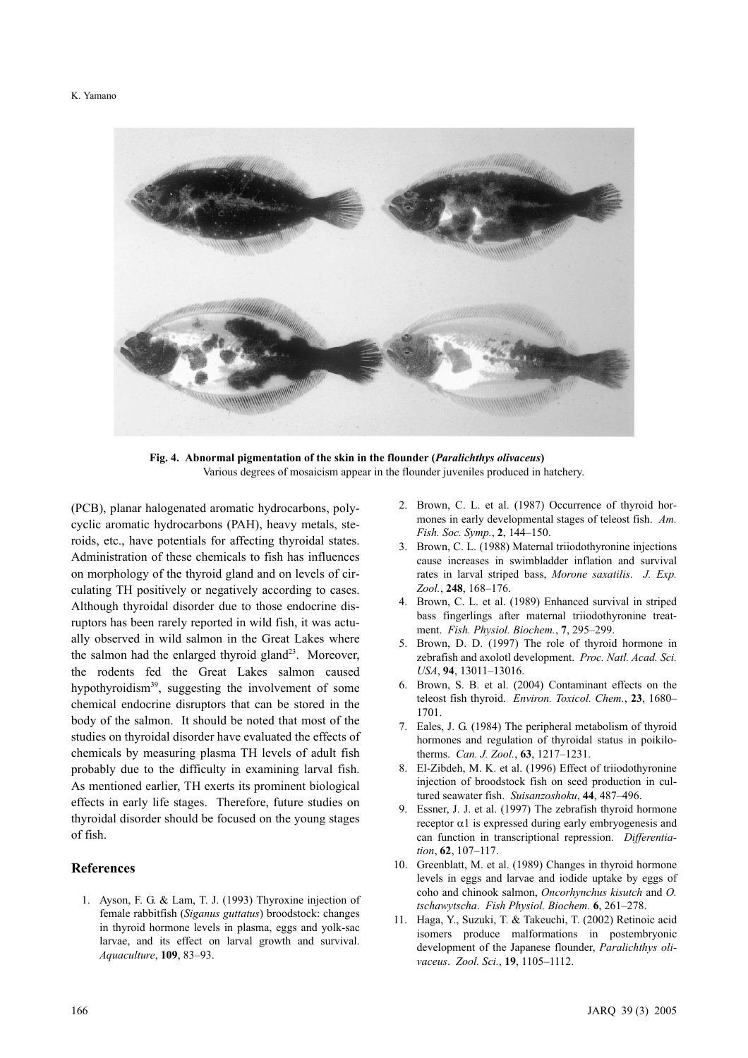

**Fig. 4. Abnormal pigmentation of the skin in the flounder (***Paralichthys olivaceus***)** Various degrees of mosaicism appear in the flounder juveniles produced in hatchery.

(PCB), planar halogenated aromatic hydrocarbons, polycyclic aromatic hydrocarbons (PAH), heavy metals, steroids, etc., have potentials for affecting thyroidal states. Administration of these chemicals to fish has influences on morphology of the thyroid gland and on levels of circulating TH positively or negatively according to cases. Although thyroidal disorder due to those endocrine disruptors has been rarely reported in wild fish, it was actually observed in wild salmon in the Great Lakes where the salmon had the enlarged thyroid gland<sup>23</sup>. Moreover, the rodents fed the Great Lakes salmon caused hypothyroidism<sup>39</sup>, suggesting the involvement of some chemical endocrine disruptors that can be stored in the body of the salmon. It should be noted that most of the studies on thyroidal disorder have evaluated the effects of chemicals by measuring plasma TH levels of adult fish probably due to the difficulty in examining larval fish. As mentioned earlier, TH exerts its prominent biological effects in early life stages. Therefore, future studies on thyroidal disorder should be focused on the young stages of fish.

# **References**

1. Ayson, F. G. & Lam, T. J. (1993) Thyroxine injection of female rabbitfish (*Siganus guttatus*) broodstock: changes in thyroid hormone levels in plasma, eggs and yolk-sac larvae, and its effect on larval growth and survival. *Aquaculture*, **109**, 83–93.

- 2. Brown, C. L. et al. (1987) Occurrence of thyroid hormones in early developmental stages of teleost fish. *Am. Fish. Soc. Symp.*, **2**, 144–150.
- 3. Brown, C. L. (1988) Maternal triiodothyronine injections cause increases in swimbladder inflation and survival rates in larval striped bass, *Morone saxatilis*. *J. Exp. Zool.*, **248**, 168–176.
- 4. Brown, C. L. et al. (1989) Enhanced survival in striped bass fingerlings after maternal triiodothyronine treatment. *Fish. Physiol. Biochem.*, **7**, 295–299.
- 5. Brown, D. D. (1997) The role of thyroid hormone in zebrafish and axolotl development. *Proc. Natl. Acad. Sci. USA*, **94**, 13011–13016.
- 6. Brown, S. B. et al. (2004) Contaminant effects on the teleost fish thyroid. *Environ. Toxicol. Chem.*, **23**, 1680– 1701.
- 7. Eales, J. G. (1984) The peripheral metabolism of thyroid hormones and regulation of thyroidal status in poikilotherms. *Can. J. Zool.*, **63**, 1217–1231.
- 8. El-Zibdeh, M. K. et al. (1996) Effect of triiodothyronine injection of broodstock fish on seed production in cultured seawater fish. *Suisanzoshoku*, **44**, 487–496.
- 9. Essner, J. J. et al. (1997) The zebrafish thyroid hormone receptor  $α1$  is expressed during early embryogenesis and can function in transcriptional repression. *Differentiation*, **62**, 107–117.
- 10. Greenblatt, M. et al. (1989) Changes in thyroid hormone levels in eggs and larvae and iodide uptake by eggs of coho and chinook salmon, *Oncorhynchus kisutch* and *O. tschawytscha*. *Fish Physiol. Biochem.* **6**, 261–278.
- 11. Haga, Y., Suzuki, T. & Takeuchi, T. (2002) Retinoic acid isomers produce malformations in postembryonic development of the Japanese flounder, *Paralichthys olivaceus*. *Zool. Sci.*, **19**, 1105–1112.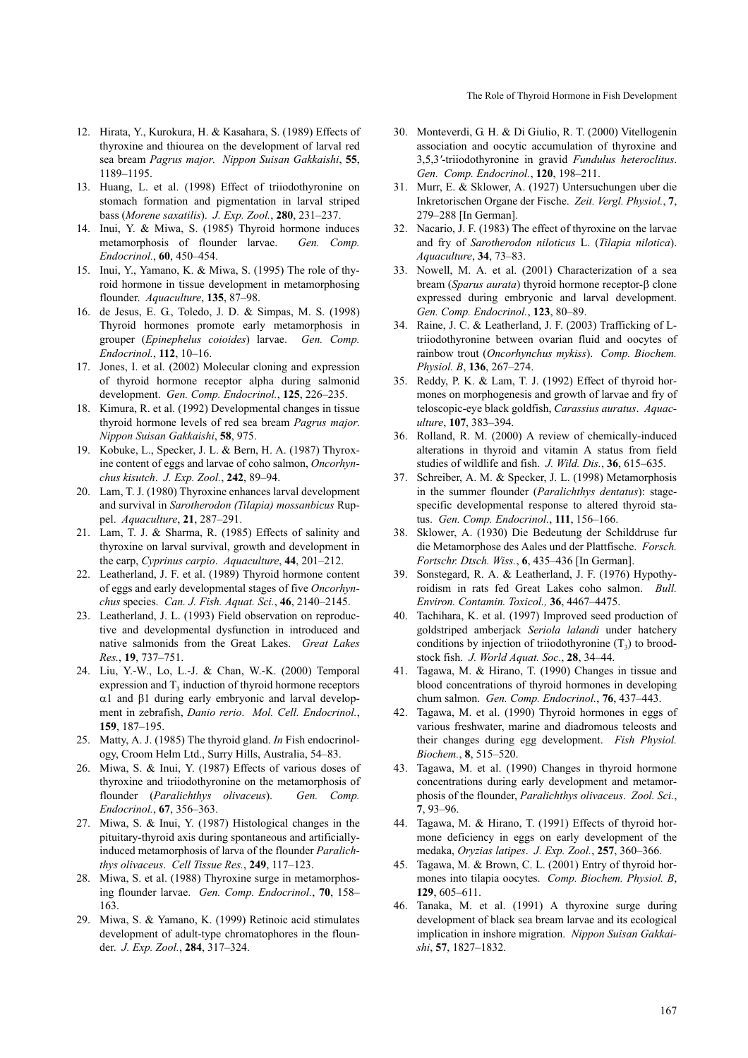The Role of Thyroid Hormone in Fish Development

- 12. Hirata, Y., Kurokura, H. & Kasahara, S. (1989) Effects of thyroxine and thiourea on the development of larval red sea bream *Pagrus major*. *Nippon Suisan Gakkaishi*, **55**, 1189–1195.
- 13. Huang, L. et al. (1998) Effect of triiodothyronine on stomach formation and pigmentation in larval striped bass (*Morene saxatilis*). *J. Exp. Zool.*, **280**, 231–237.
- 14. Inui, Y. & Miwa, S. (1985) Thyroid hormone induces metamorphosis of flounder larvae. *Gen. Comp. Endocrinol.*, **60**, 450–454.
- 15. Inui, Y., Yamano, K. & Miwa, S. (1995) The role of thyroid hormone in tissue development in metamorphosing flounder. *Aquaculture*, **135**, 87–98.
- 16. de Jesus, E. G., Toledo, J. D. & Simpas, M. S. (1998) Thyroid hormones promote early metamorphosis in grouper (*Epinephelus coioides*) larvae. *Gen. Comp. Endocrinol.*, **112**, 10–16.
- 17. Jones, I. et al. (2002) Molecular cloning and expression of thyroid hormone receptor alpha during salmonid development. *Gen. Comp. Endocrinol.*, **125**, 226–235.
- 18. Kimura, R. et al. (1992) Developmental changes in tissue thyroid hormone levels of red sea bream *Pagrus major*. *Nippon Suisan Gakkaishi*, **58**, 975.
- 19. Kobuke, L., Specker, J. L. & Bern, H. A. (1987) Thyroxine content of eggs and larvae of coho salmon, *Oncorhynchus kisutch*. *J. Exp. Zool.*, **242**, 89–94.
- 20. Lam, T. J. (1980) Thyroxine enhances larval development and survival in *Sarotherodon (Tilapia) mossanbicus* Ruppel. *Aquaculture*, **21**, 287–291.
- 21. Lam, T. J. & Sharma, R. (1985) Effects of salinity and thyroxine on larval survival, growth and development in the carp, *Cyprinus carpio*. *Aquaculture*, **44**, 201–212.
- 22. Leatherland, J. F. et al. (1989) Thyroid hormone content of eggs and early developmental stages of five *Oncorhynchus* species. *Can. J. Fish. Aquat. Sci.*, **46**, 2140–2145.
- 23. Leatherland, J. L. (1993) Field observation on reproductive and developmental dysfunction in introduced and native salmonids from the Great Lakes. *Great Lakes Res.*, **19**, 737–751.
- 24. Liu, Y.-W., Lo, L.-J. & Chan, W.-K. (2000) Temporal expression and  $T_3$  induction of thyroid hormone receptors α1 and β1 during early embryonic and larval development in zebrafish, *Danio rerio*. *Mol. Cell. Endocrinol.*, **159**, 187–195.
- 25. Matty, A. J. (1985) The thyroid gland. *In* Fish endocrinology, Croom Helm Ltd., Surry Hills, Australia, 54–83.
- 26. Miwa, S. & Inui, Y. (1987) Effects of various doses of thyroxine and triiodothyronine on the metamorphosis of flounder (*Paralichthys olivaceus*). *Gen. Comp. Endocrinol.*, **67**, 356–363.
- 27. Miwa, S. & Inui, Y. (1987) Histological changes in the pituitary-thyroid axis during spontaneous and artificiallyinduced metamorphosis of larva of the flounder *Paralichthys olivaceus*. *Cell Tissue Res.*, **249**, 117–123.
- 28. Miwa, S. et al. (1988) Thyroxine surge in metamorphosing flounder larvae. *Gen. Comp. Endocrinol.*, **70**, 158– 163.
- 29. Miwa, S. & Yamano, K. (1999) Retinoic acid stimulates development of adult-type chromatophores in the flounder. *J. Exp. Zool.*, **284**, 317–324.
- 30. Monteverdi, G. H. & Di Giulio, R. T. (2000) Vitellogenin association and oocytic accumulation of thyroxine and 3,5,3*'*-triiodothyronine in gravid *Fundulus heteroclitus*. *Gen. Comp. Endocrinol.*, **120**, 198–211.
- 31. Murr, E. & Sklower, A. (1927) Untersuchungen uber die Inkretorischen Organe der Fische. *Zeit. Vergl. Physiol.*, **7**, 279–288 [In German].
- 32. Nacario, J. F. (1983) The effect of thyroxine on the larvae and fry of *Sarotherodon niloticus* L. (*Tilapia nilotica*). *Aquaculture*, **34**, 73–83.
- 33. Nowell, M. A. et al. (2001) Characterization of a sea bream (*Sparus aurata*) thyroid hormone receptor-β clone expressed during embryonic and larval development. *Gen. Comp. Endocrinol.*, **123**, 80–89.
- 34. Raine, J. C. & Leatherland, J. F. (2003) Trafficking of Ltriiodothyronine between ovarian fluid and oocytes of rainbow trout (*Oncorhynchus mykiss*). *Comp. Biochem. Physiol. B*, **136**, 267–274.
- 35. Reddy, P. K. & Lam, T. J. (1992) Effect of thyroid hormones on morphogenesis and growth of larvae and fry of teloscopic-eye black goldfish, *Carassius auratus*. *Aquaculture*, **107**, 383–394.
- 36. Rolland, R. M. (2000) A review of chemically-induced alterations in thyroid and vitamin A status from field studies of wildlife and fish. *J. Wild. Dis.*, **36**, 615–635.
- 37. Schreiber, A. M. & Specker, J. L. (1998) Metamorphosis in the summer flounder (*Paralichthys dentatus*): stagespecific developmental response to altered thyroid status. *Gen. Comp. Endocrinol.*, **111**, 156–166.
- 38. Sklower, A. (1930) Die Bedeutung der Schilddruse fur die Metamorphose des Aales und der Plattfische. *Forsch. Fortschr. Dtsch. Wiss.*, **6**, 435–436 [In German].
- 39. Sonstegard, R. A. & Leatherland, J. F. (1976) Hypothyroidism in rats fed Great Lakes coho salmon. *Bull. Environ. Contamin. Toxicol.,* **36**, 4467–4475.
- 40. Tachihara, K. et al. (1997) Improved seed production of goldstriped amberjack *Seriola lalandi* under hatchery conditions by injection of triiodothyronine  $(T_3)$  to broodstock fish. *J. World Aquat. Soc.*, **28**, 34–44.
- 41. Tagawa, M. & Hirano, T. (1990) Changes in tissue and blood concentrations of thyroid hormones in developing chum salmon. *Gen. Comp. Endocrinol.*, **76**, 437–443.
- 42. Tagawa, M. et al. (1990) Thyroid hormones in eggs of various freshwater, marine and diadromous teleosts and their changes during egg development. *Fish Physiol. Biochem.*, **8**, 515–520.
- 43. Tagawa, M. et al. (1990) Changes in thyroid hormone concentrations during early development and metamorphosis of the flounder, *Paralichthys olivaceus*. *Zool. Sci.*, **7**, 93–96.
- 44. Tagawa, M. & Hirano, T. (1991) Effects of thyroid hormone deficiency in eggs on early development of the medaka, *Oryzias latipes*. *J. Exp. Zool.*, **257**, 360–366.
- 45. Tagawa, M. & Brown, C. L. (2001) Entry of thyroid hormones into tilapia oocytes. *Comp. Biochem. Physiol. B*, **129**, 605–611.
- 46. Tanaka, M. et al. (1991) A thyroxine surge during development of black sea bream larvae and its ecological implication in inshore migration. *Nippon Suisan Gakkaishi*, **57**, 1827–1832.